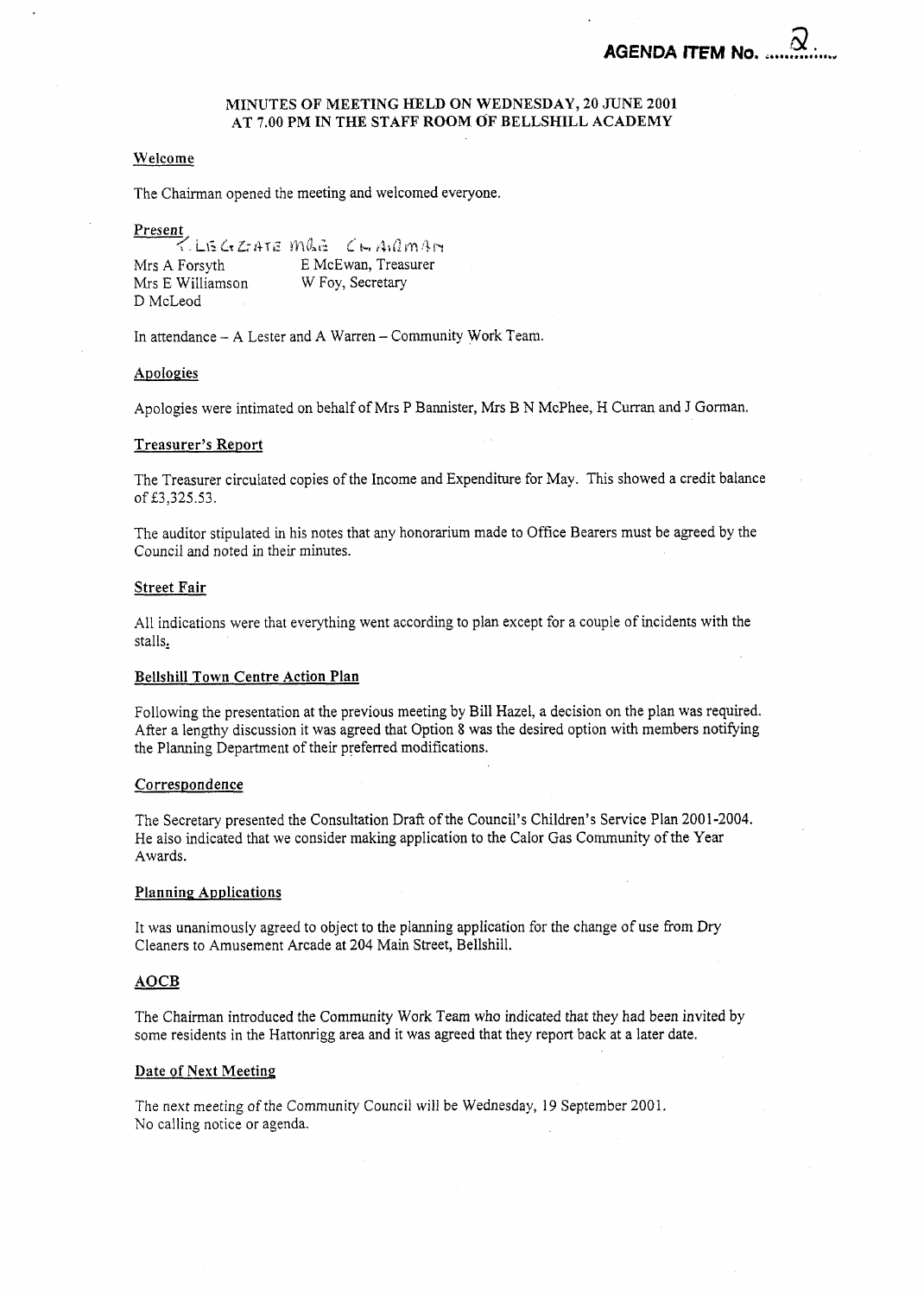# **MINUTES** OF MEETING HELD ON WEDNESDAY, **20** JUNE **2001**  AT **7.00** PM IN **THE** STAFF **ROOM** OF BELLSHILL ACADEMY

# Welcome

The Chairman opened the meeting and welcomed everyone.

Present

ZLEGZATEMLE CHAILMAN E McEwan, Treasurer Mrs A Forsyth Mrs E Williamson W Foy, Secretary D McLeod

In attendance - **A** Lester and A Warren - Community Work Team.

### Apologies

Apologies were intimated on behalf of Mrs P Bannister, Mrs B N McPhee, H Curran and J Gorman.

#### Treasurer's Report

The Treasurer circulated copies of the Income and Expenditure for May. This showed a credit balance of £3,325.53.

The auditor stipulated in his notes that any honorarium made to Office Bearers must be agreed by the Council and noted in their minutes.

#### Street Fair

All indications were that everything went according to plan except for a couple of incidents with the stalls,

#### Bellshill **Town** Centre Action Plan

Following the presentation at the previous meeting by Bill Hazel, a decision on the plan was required. After a lengthy discussion it was agreed that Option 8 was the desired option with members notifying the Planning Department of their preferred modifications.

#### Correspondence

The Secretary presented the Consultation Draft of the Council's Children's Service Plan 200 1-2004. He also indicated that we consider making application to the Calor Gas Community of the Year Awards.

#### Planning Applications

It was unanimously agreed to object to the planning application for the change of use from Dry Cleaners to Amusement Arcade at 204 Main Street, Bellshill.

# AOCB

The Chairman introduced the Community Work Team who indicated that they had been invited by some residents in the Hattonrigg area and it was agreed that they report back at a later date.

#### Date **of** Next Meeting

The next meeting of the Community Council will be Wednesday, 19 September 2001. No calling notice or agenda.